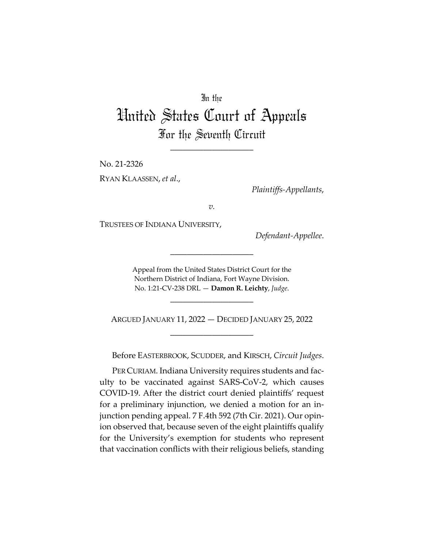## In the

## United States Court of Appeals For the Seventh Circuit

\_\_\_\_\_\_\_\_\_\_\_\_\_\_\_\_\_\_\_\_

No. 21-2326 RYAN KLAASSEN, *et al*.,

*Plaintiffs-Appellants*,

*v.*

TRUSTEES OF INDIANA UNIVERSITY,

*Defendant-Appellee*.

Appeal from the United States District Court for the Northern District of Indiana, Fort Wayne Division. No. 1:21-CV-238 DRL — **Damon R. Leichty**, *Judge*.

\_\_\_\_\_\_\_\_\_\_\_\_\_\_\_\_\_\_\_\_

\_\_\_\_\_\_\_\_\_\_\_\_\_\_\_\_\_\_\_\_

ARGUED JANUARY 11, 2022 — DECIDED JANUARY 25, 2022 \_\_\_\_\_\_\_\_\_\_\_\_\_\_\_\_\_\_\_\_

Before EASTERBROOK, SCUDDER, and KIRSCH, *Circuit Judges*.

PER CURIAM. Indiana University requires students and faculty to be vaccinated against SARS-CoV-2, which causes COVID-19. After the district court denied plaintiffs' request for a preliminary injunction, we denied a motion for an injunction pending appeal. 7 F.4th 592 (7th Cir. 2021). Our opinion observed that, because seven of the eight plaintiffs qualify for the University's exemption for students who represent that vaccination conflicts with their religious beliefs, standing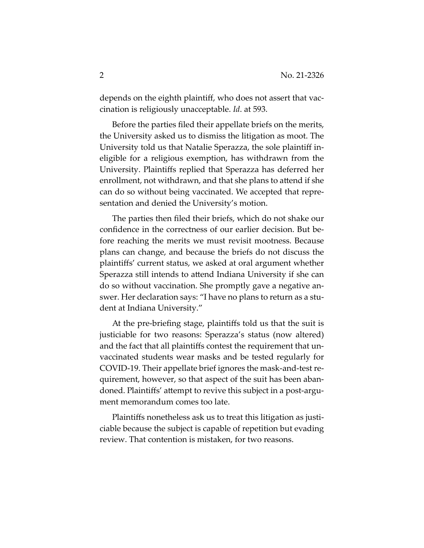depends on the eighth plaintiff, who does not assert that vaccination is religiously unacceptable. *Id*. at 593.

Before the parties filed their appellate briefs on the merits, the University asked us to dismiss the litigation as moot. The University told us that Natalie Sperazza, the sole plaintiff ineligible for a religious exemption, has withdrawn from the University. Plaintiffs replied that Sperazza has deferred her enrollment, not withdrawn, and that she plans to attend if she can do so without being vaccinated. We accepted that representation and denied the University's motion.

The parties then filed their briefs, which do not shake our confidence in the correctness of our earlier decision. But before reaching the merits we must revisit mootness. Because plans can change, and because the briefs do not discuss the plaintiffs' current status, we asked at oral argument whether Sperazza still intends to attend Indiana University if she can do so without vaccination. She promptly gave a negative answer. Her declaration says: "I have no plans to return as a student at Indiana University."

At the pre-briefing stage, plaintiffs told us that the suit is justiciable for two reasons: Sperazza's status (now altered) and the fact that all plaintiffs contest the requirement that unvaccinated students wear masks and be tested regularly for COVID-19. Their appellate brief ignores the mask-and-test requirement, however, so that aspect of the suit has been abandoned. Plaintiffs' attempt to revive this subject in a post-argument memorandum comes too late.

Plaintiffs nonetheless ask us to treat this litigation as justiciable because the subject is capable of repetition but evading review. That contention is mistaken, for two reasons.